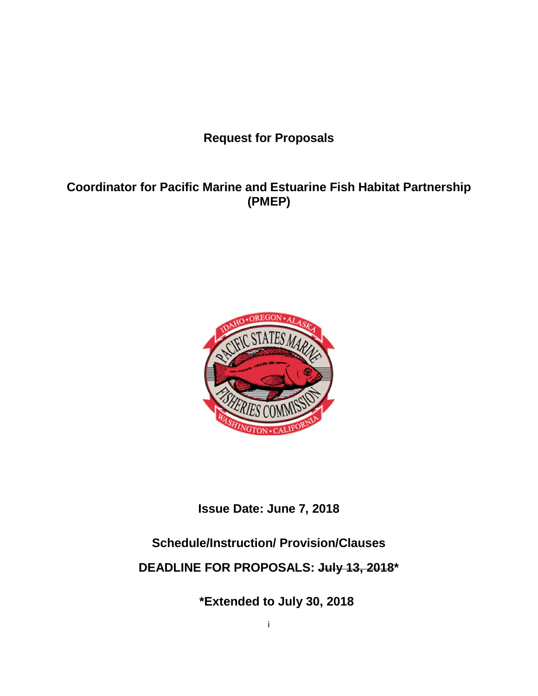**Request for Proposals**

## **Coordinator for Pacific Marine and Estuarine Fish Habitat Partnership (PMEP)**



**Issue Date: June 7, 2018** 

# **Schedule/Instruction/ Provision/Clauses**

# **DEADLINE FOR PROPOSALS: July 13, 2018\***

**\*Extended to July 30, 2018**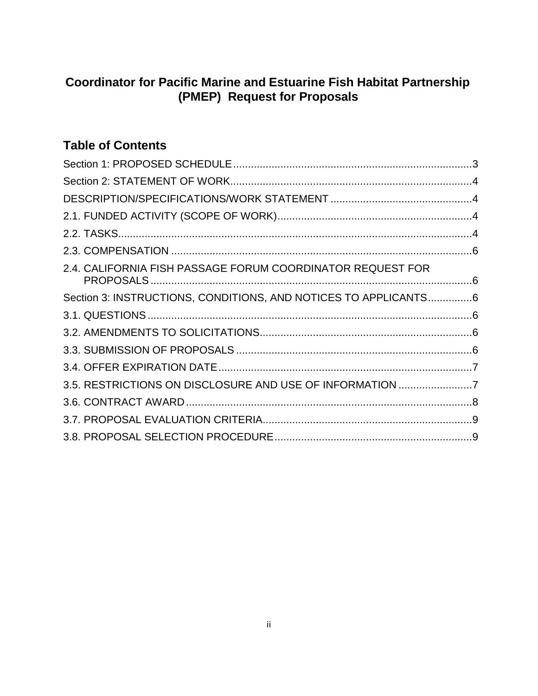## **Coordinator for Pacific Marine and Estuarine Fish Habitat Partnership (PMEP) Request for Proposals**

# **Table of Contents**

| 2.4. CALIFORNIA FISH PASSAGE FORUM COORDINATOR REQUEST FOR      |  |
|-----------------------------------------------------------------|--|
| Section 3: INSTRUCTIONS, CONDITIONS, AND NOTICES TO APPLICANTS6 |  |
|                                                                 |  |
|                                                                 |  |
|                                                                 |  |
|                                                                 |  |
| 3.5. RESTRICTIONS ON DISCLOSURE AND USE OF INFORMATION 7        |  |
|                                                                 |  |
|                                                                 |  |
|                                                                 |  |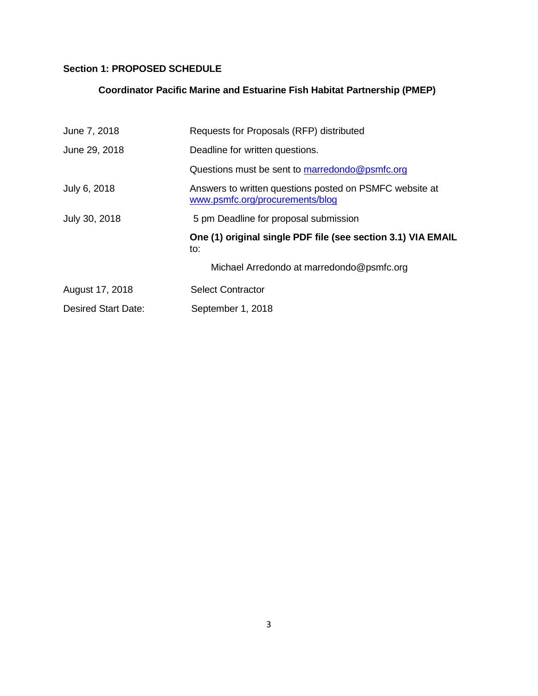## **Section 1: PROPOSED SCHEDULE**

## **Coordinator Pacific Marine and Estuarine Fish Habitat Partnership (PMEP)**

| June 7, 2018        | Requests for Proposals (RFP) distributed                                                   |
|---------------------|--------------------------------------------------------------------------------------------|
| June 29, 2018       | Deadline for written questions.                                                            |
|                     | Questions must be sent to marredondo@psmfc.org                                             |
| July 6, 2018        | Answers to written questions posted on PSMFC website at<br>www.psmfc.org/procurements/blog |
| July 30, 2018       | 5 pm Deadline for proposal submission                                                      |
|                     | One (1) original single PDF file (see section 3.1) VIA EMAIL<br>to:                        |
|                     | Michael Arredondo at marredondo@psmfc.org                                                  |
| August 17, 2018     | <b>Select Contractor</b>                                                                   |
| Desired Start Date: | September 1, 2018                                                                          |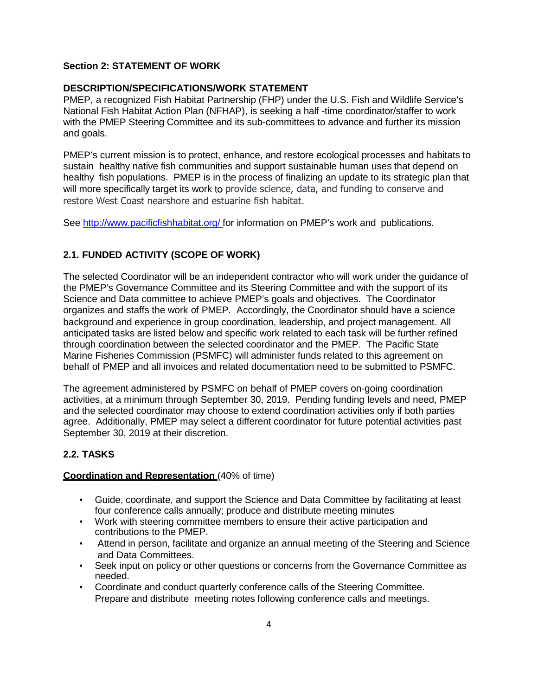### **Section 2: STATEMENT OF WORK**

### **DESCRIPTION/SPECIFICATIONS/WORK STATEMENT**

PMEP, a recognized Fish Habitat Partnership (FHP) under the U.S. Fish and Wildlife Service's National Fish Habitat Action Plan (NFHAP), is seeking a half -time coordinator/staffer to work with the PMEP Steering Committee and its sub-committees to advance and further its mission and goals.

PMEP's current mission is to protect, enhance, and restore ecological processes and habitats to sustain healthy native fish communities and support sustainable human uses that depend on healthy fish populations. PMEP is in the process of finalizing an update to its strategic plan that will more specifically target its work to provide science, data, and funding to conserve and restore West Coast nearshore and estuarine fish habitat.

See http://www.pacificfishhabitat.org/ for information on PMEP's work and publications.

## **2.1. FUNDED ACTIVITY (SCOPE OF WORK)**

The selected Coordinator will be an independent contractor who will work under the guidance of the PMEP's Governance Committee and its Steering Committee and with the support of its Science and Data committee to achieve PMEP's goals and objectives. The Coordinator organizes and staffs the work of PMEP. Accordingly, the Coordinator should have a science background and experience in group coordination, leadership, and project management. All anticipated tasks are listed below and specific work related to each task will be further refined through coordination between the selected coordinator and the PMEP. The Pacific State Marine Fisheries Commission (PSMFC) will administer funds related to this agreement on behalf of PMEP and all invoices and related documentation need to be submitted to PSMFC.

The agreement administered by PSMFC on behalf of PMEP covers on-going coordination activities, at a minimum through September 30, 2019. Pending funding levels and need, PMEP and the selected coordinator may choose to extend coordination activities only if both parties agree. Additionally, PMEP may select a different coordinator for future potential activities past September 30, 2019 at their discretion.

## **2.2. TASKS**

#### **Coordination and Representation** (40% of time)

- Guide, coordinate, and support the Science and Data Committee by facilitating at least four conference calls annually; produce and distribute meeting minutes
- Work with steering committee members to ensure their active participation and contributions to the PMEP.
- Attend in person, facilitate and organize an annual meeting of the Steering and Science and Data Committees.
- Seek input on policy or other questions or concerns from the Governance Committee as needed.
- Coordinate and conduct quarterly conference calls of the Steering Committee. Prepare and distribute meeting notes following conference calls and meetings.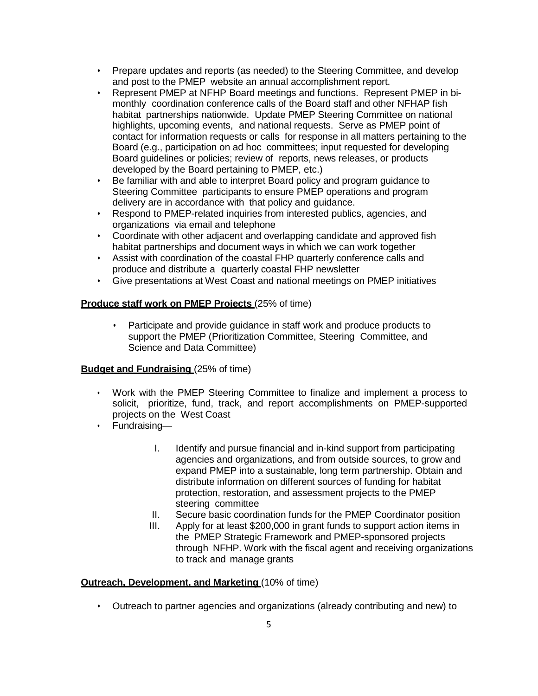- Prepare updates and reports (as needed) to the Steering Committee, and develop and post to the PMEP website an annual accomplishment report.
- Represent PMEP at NFHP Board meetings and functions. Represent PMEP in bimonthly coordination conference calls of the Board staff and other NFHAP fish habitat partnerships nationwide. Update PMEP Steering Committee on national highlights, upcoming events, and national requests. Serve as PMEP point of contact for information requests or calls for response in all matters pertaining to the Board (e.g., participation on ad hoc committees; input requested for developing Board guidelines or policies; review of reports, news releases, or products developed by the Board pertaining to PMEP, etc.)
- Be familiar with and able to interpret Board policy and program guidance to Steering Committee participants to ensure PMEP operations and program delivery are in accordance with that policy and guidance.
- Respond to PMEP-related inquiries from interested publics, agencies, and organizations via email and telephone
- Coordinate with other adjacent and overlapping candidate and approved fish habitat partnerships and document ways in which we can work together
- Assist with coordination of the coastal FHP quarterly conference calls and produce and distribute a quarterly coastal FHP newsletter
- Give presentations at West Coast and national meetings on PMEP initiatives

#### **Produce staff work on PMEP Projects** (25% of time)

• Participate and provide guidance in staff work and produce products to support the PMEP (Prioritization Committee, Steering Committee, and Science and Data Committee)

#### **Budget and Fundraising (25% of time)**

- Work with the PMEP Steering Committee to finalize and implement a process to solicit, prioritize, fund, track, and report accomplishments on PMEP-supported projects on the West Coast
- Fundraising—
	- I. Identify and pursue financial and in-kind support from participating agencies and organizations, and from outside sources, to grow and expand PMEP into a sustainable, long term partnership. Obtain and distribute information on different sources of funding for habitat protection, restoration, and assessment projects to the PMEP steering committee
	- II. Secure basic coordination funds for the PMEP Coordinator position
	- III. Apply for at least \$200,000 in grant funds to support action items in the PMEP Strategic Framework and PMEP-sponsored projects through NFHP. Work with the fiscal agent and receiving organizations to track and manage grants

#### **Outreach, Development, and Marketing (10% of time)**

• Outreach to partner agencies and organizations (already contributing and new) to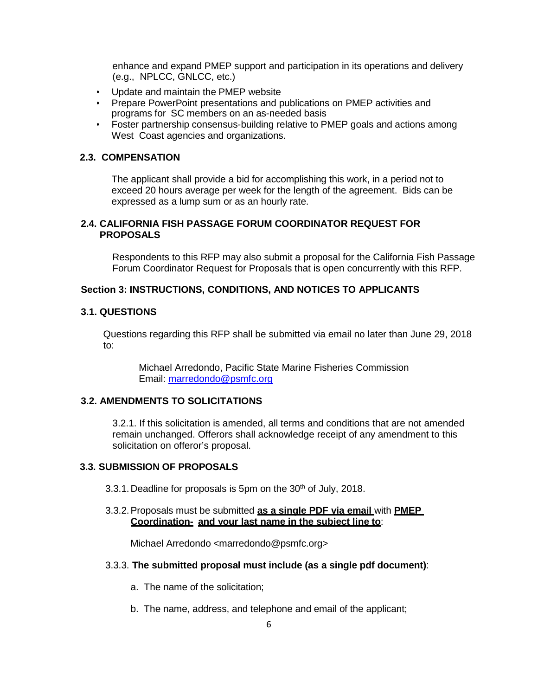enhance and expand PMEP support and participation in its operations and delivery (e.g., NPLCC, GNLCC, etc.)

- Update and maintain the PMEP website
- Prepare PowerPoint presentations and publications on PMEP activities and programs for SC members on an as-needed basis
- Foster partnership consensus-building relative to PMEP goals and actions among West Coast agencies and organizations.

#### **2.3. COMPENSATION**

The applicant shall provide a bid for accomplishing this work, in a period not to exceed 20 hours average per week for the length of the agreement. Bids can be expressed as a lump sum or as an hourly rate.

#### **2.4. CALIFORNIA FISH PASSAGE FORUM COORDINATOR REQUEST FOR PROPOSALS**

Respondents to this RFP may also submit a proposal for the California Fish Passage Forum Coordinator Request for Proposals that is open concurrently with this RFP.

#### **Section 3: INSTRUCTIONS, CONDITIONS, AND NOTICES TO APPLICANTS**

#### **3.1. QUESTIONS**

Questions regarding this RFP shall be submitted via email no later than June 29, 2018 to:

 Michael Arredondo, Pacific State Marine Fisheries Commission Email: marredondo@psmfc.org

#### **3.2. AMENDMENTS TO SOLICITATIONS**

3.2.1. If this solicitation is amended, all terms and conditions that are not amended remain unchanged. Offerors shall acknowledge receipt of any amendment to this solicitation on offeror's proposal.

#### **3.3. SUBMISSION OF PROPOSALS**

- 3.3.1. Deadline for proposals is 5pm on the  $30<sup>th</sup>$  of July, 2018.
- 3.3.2. Proposals must be submitted **as a single PDF via email** with **PMEP Coordination- and your last name in the subject line to**:

Michael Arredondo <marredondo@psmfc.org>

#### 3.3.3. **The submitted proposal must include (as a single pdf document)**:

- a. The name of the solicitation;
- b. The name, address, and telephone and email of the applicant;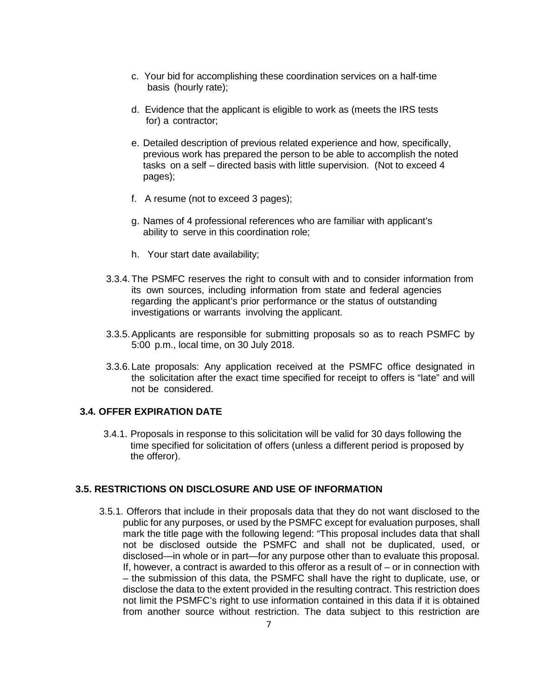- c. Your bid for accomplishing these coordination services on a half-time basis (hourly rate);
- d. Evidence that the applicant is eligible to work as (meets the IRS tests for) a contractor;
- e. Detailed description of previous related experience and how, specifically, previous work has prepared the person to be able to accomplish the noted tasks on a self – directed basis with little supervision. (Not to exceed 4 pages);
- f. A resume (not to exceed 3 pages);
- g. Names of 4 professional references who are familiar with applicant's ability to serve in this coordination role;
- h. Your start date availability;
- 3.3.4. The PSMFC reserves the right to consult with and to consider information from its own sources, including information from state and federal agencies regarding the applicant's prior performance or the status of outstanding investigations or warrants involving the applicant.
- 3.3.5. Applicants are responsible for submitting proposals so as to reach PSMFC by 5:00 p.m., local time, on 30 July 2018.
- 3.3.6. Late proposals: Any application received at the PSMFC office designated in the solicitation after the exact time specified for receipt to offers is "late" and will not be considered.

### **3.4. OFFER EXPIRATION DATE**

3.4.1. Proposals in response to this solicitation will be valid for 30 days following the time specified for solicitation of offers (unless a different period is proposed by the offeror).

#### **3.5. RESTRICTIONS ON DISCLOSURE AND USE OF INFORMATION**

3.5.1. Offerors that include in their proposals data that they do not want disclosed to the public for any purposes, or used by the PSMFC except for evaluation purposes, shall mark the title page with the following legend: "This proposal includes data that shall not be disclosed outside the PSMFC and shall not be duplicated, used, or disclosed—in whole or in part—for any purpose other than to evaluate this proposal. If, however, a contract is awarded to this offeror as a result of – or in connection with – the submission of this data, the PSMFC shall have the right to duplicate, use, or disclose the data to the extent provided in the resulting contract. This restriction does not limit the PSMFC's right to use information contained in this data if it is obtained from another source without restriction. The data subject to this restriction are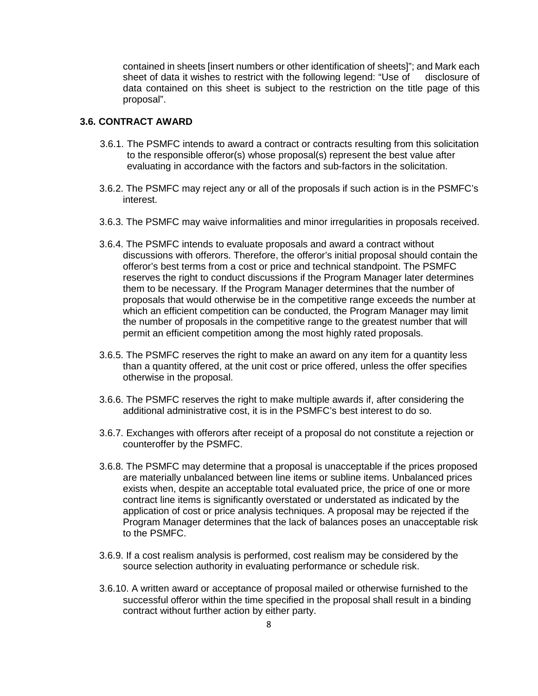contained in sheets [insert numbers or other identification of sheets]"; and Mark each sheet of data it wishes to restrict with the following legend: "Use of disclosure of data contained on this sheet is subject to the restriction on the title page of this proposal".

### **3.6. CONTRACT AWARD**

- 3.6.1. The PSMFC intends to award a contract or contracts resulting from this solicitation to the responsible offeror(s) whose proposal(s) represent the best value after evaluating in accordance with the factors and sub-factors in the solicitation.
- 3.6.2. The PSMFC may reject any or all of the proposals if such action is in the PSMFC's interest.
- 3.6.3. The PSMFC may waive informalities and minor irregularities in proposals received.
- 3.6.4. The PSMFC intends to evaluate proposals and award a contract without discussions with offerors. Therefore, the offeror's initial proposal should contain the offeror's best terms from a cost or price and technical standpoint. The PSMFC reserves the right to conduct discussions if the Program Manager later determines them to be necessary. If the Program Manager determines that the number of proposals that would otherwise be in the competitive range exceeds the number at which an efficient competition can be conducted, the Program Manager may limit the number of proposals in the competitive range to the greatest number that will permit an efficient competition among the most highly rated proposals.
- 3.6.5. The PSMFC reserves the right to make an award on any item for a quantity less than a quantity offered, at the unit cost or price offered, unless the offer specifies otherwise in the proposal.
- 3.6.6. The PSMFC reserves the right to make multiple awards if, after considering the additional administrative cost, it is in the PSMFC's best interest to do so.
- 3.6.7. Exchanges with offerors after receipt of a proposal do not constitute a rejection or counteroffer by the PSMFC.
- 3.6.8. The PSMFC may determine that a proposal is unacceptable if the prices proposed are materially unbalanced between line items or subline items. Unbalanced prices exists when, despite an acceptable total evaluated price, the price of one or more contract line items is significantly overstated or understated as indicated by the application of cost or price analysis techniques. A proposal may be rejected if the Program Manager determines that the lack of balances poses an unacceptable risk to the PSMFC.
- 3.6.9. If a cost realism analysis is performed, cost realism may be considered by the source selection authority in evaluating performance or schedule risk.
- 3.6.10. A written award or acceptance of proposal mailed or otherwise furnished to the successful offeror within the time specified in the proposal shall result in a binding contract without further action by either party.